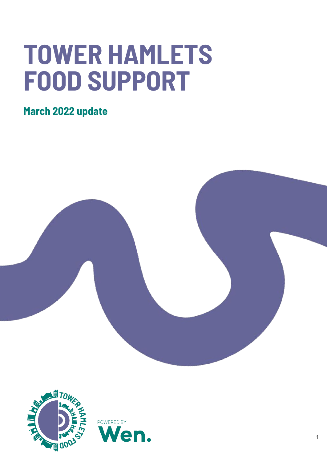## **TOWER HAMLETS FOOD SUPPORT**

**March 2022 update**



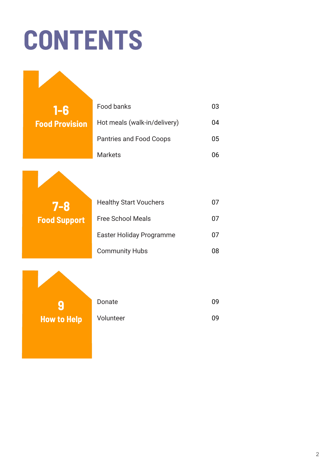# **CONTENTS**



**9 How to Help**  $\sqrt{6}$ 

| Donate    | 09 |
|-----------|----|
| Volunteer | 09 |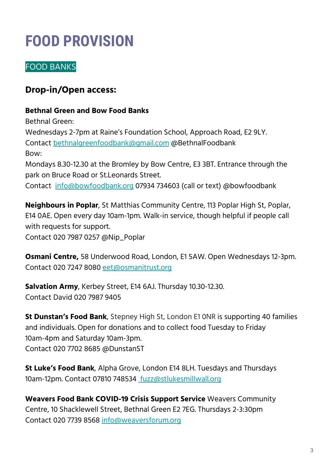### **FOOD PROVISION**

### FOOD BANKS

### **Drop-in/Open access:**

#### **Bethnal Green and Bow Food Banks**

Bethnal Green:

Wednesdays 2-7pm at Raine's Foundation School, Approach Road, E2 9LY. Contact [bethnalgreenfoodbank@gmail.com](mailto:bethnalgreenfoodbank@gmail.com) @BethnalFoodbank Bow: Mondays 8.30-12.30 at the Bromley by Bow Centre, E3 3BT. Entrance through the

park on Bruce Road or St.Leonards Street.

Contact [info@bowfoodbank.org](mailto:info@bowfoodbank.org) 07934 734603 (call or text) @bowfoodbank

**Neighbours in Poplar**, St Matthias Community Centre, 113 Poplar High St, Poplar, E14 0AE. Open every day 10am-1pm. Walk-in service, though helpful if people call with requests for support.

Contact 020 7987 0257 @Nip\_Poplar

**Osmani Centre,** 58 Underwood Road, London, E1 5AW. Open Wednesdays 12-3pm. Contact 020 7247 8080 [eet@osmanitrust.org](mailto:eet@osmanitrust.org)

**Salvation Army**, Kerbey Street, E14 6AJ. Thursday 10.30-12.30. Contact David 020 7987 9405

**St Dunstan's Food Bank**, Stepney High St, London E1 0NR is supporting 40 families and individuals. Open for donations and to collect food Tuesday to Friday 10am-4pm and Saturday 10am-3pm. Contact [020 7702 8685](https://www.google.com/search?gs_ssp=eJzj4tTP1TcwrCgrMjdgtFI1qDCxMDczTDFKMjO1TDU1STK3MqiwTLOwTEkyMkpMSTY3MDY28BIrLlFIKc0rLknMUy9WSMvPT1FISszLBgD9exXf&q=st+dunstan%27s+food+bank&rlz=1C1GCEU_enGB931GB931&oq=st+dunstands+food+ban&aqs=chrome.1.69i57j46i13i175i199.6697j1j4&sourceid=chrome&ie=UTF-8#) @DunstanST

**St Luke's Food Bank**, Alpha Grove, London E14 8LH. Tuesdays and Thursdays 10am-12pm. Contact 07810 748534 [fuzz@stlukesmillwall.org](mailto:fuzz@stlukesmillwall.org)

**Weavers Food Bank COVID-19 Crisis Support Service** Weavers Community Centre, 10 Shacklewell Street, Bethnal Green E2 7EG. Thursdays 2-3:30pm Contact 020 7739 8568 [info@weaversforum.org](mailto:info@weaversforum.org)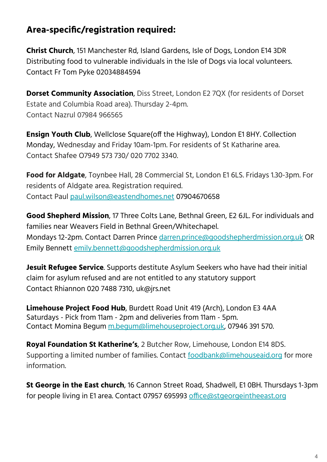### **Area-specific/registration required:**

**Christ Church**, 151 Manchester Rd, Island Gardens, Isle of Dogs, London E14 3DR Distributing food to vulnerable individuals in the Isle of Dogs via local volunteers. Contact Fr Tom Pyke 02034884594

**Dorset Community Association**, Diss Street, London E2 7QX (for residents of Dorset Estate and Columbia Road area). Thursday 2-4pm. Contact Nazrul 07984 966565

**Ensign Youth Club**, Wellclose Square(off the Highway), London E1 8HY. Collection Monday, Wednesday and Friday 10am-1pm. For residents of St Katharine area. Contact Shafee O7949 573 730/ 020 7702 3340.

**Food for Aldgate**, Toynbee Hall, 28 Commercial St, London E1 6LS. Fridays 1.30-3pm. For residents of Aldgate area. Registration required. Contact Paul [paul.wilson@eastendhomes.net](mailto:paul.wilson@eastendhomes.net) 07904670658

**Good Shepherd Mission**, 17 Three Colts Lane, Bethnal Green, E2 6JL. For individuals and families near Weavers Field in Bethnal Green/Whitechapel. Mondays 12-2pm. Contact Darren Prince [darren.prince@goodshepherdmission.org.uk](mailto:darren.prince@goodshepherdmission.org.uk) OR Emily Bennett [emily.bennett@goodshepherdmission.org.uk](mailto:emily.bennett@goodshepherdmission.org.uk)

**Jesuit Refugee Service**. Supports destitute Asylum Seekers who have had their initial claim for asylum refused and are not entitled to any statutory support Contact Rhiannon 020 7488 7310, uk@jrs.net

**Limehouse Project Food Hub**, Burdett Road Unit 419 (Arch), London E3 4AA Saturdays - Pick from 11am - 2pm and deliveries from 11am - 5pm. Contact Momina Begum [m.begum@limehouseproject.org.uk](mailto:m.begum@limehouseproject.org.uk), 07946 391 570.

**Royal Foundation St Katherine's**, 2 Butcher Row, Limehouse, London E14 8DS. Supporting a limited number of families. Contact [foodbank@limehouseaid.org](mailto:foodbank@limehouseaid.org) for more information.

**St George in the East church**, 16 Cannon Street Road, Shadwell, E1 0BH. Thursdays 1-3pm for people living in E1 area. Contact 07957 695993 [office@stgeorgeintheeast.org](mailto:office@stgeorgeintheeast.org)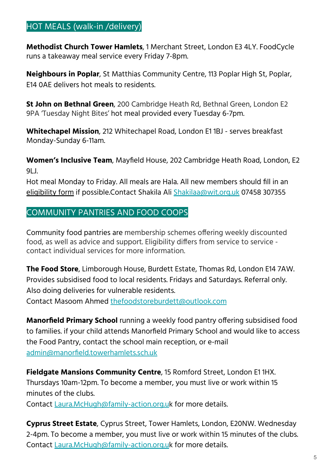#### HOT MEALS (walk-in /delivery)

**Methodist Church Tower Hamlets**, 1 Merchant Street, London E3 4LY. FoodCycle runs a takeaway meal service every Friday 7-8pm.

**Neighbours in Poplar**, St Matthias Community Centre, 113 Poplar High St, Poplar, E14 0AE delivers hot meals to residents.

**St John on Bethnal Green**, 200 Cambridge Heath Rd, Bethnal Green, London E2 9PA 'Tuesday Night Bites' hot meal provided every Tuesday 6-7pm.

**Whitechapel Mission**, 212 Whitechapel Road, London E1 1BJ - serves breakfast Monday-Sunday 6-11am.

**Women's Inclusive Team**, Mayfield House, 202 Cambridge Heath Road, London, E2 9LJ.

Hot meal Monday to Friday. All meals are Hala. All new members should fill in an [eligibility form](https://forms.gle/xu9Mhuc9rvWaNDkHA) if possible.Contact Shakila Ali [Shakilaa@wit.org.uk](mailto:Shakilaa@wit.org.uk) 07458 307355

#### COMMUNITY PANTRIES AND FOOD COOPS

Community food pantries are membership schemes offering weekly discounted food, as well as advice and support. Eligibility differs from service to service contact individual services for more information.

**The Food Store**, Limborough House, Burdett Estate, Thomas Rd, London E14 7AW. Provides subsidised food to local residents. Fridays and Saturdays. Referral only. Also doing deliveries for vulnerable residents.

Contact Masoom Ahmed [thefoodstoreburdett@outlook.com](mailto:thefoodstoreburdett@outlook.com)

**Manorfield Primary School** running a weekly food pantry offering subsidised food to families. if your child attends Manorfield Primary School and would like to access the Food Pantry, contact the school main reception, or e-mail [admin@manorfield.towerhamlets.sch.uk](mailto:admin@manorfield.towerhamlets.sch.uk)

**Fieldgate Mansions Community Centre**, 15 Romford Street, London E1 1HX. Thursdays 10am-12pm. To become a member, you must live or work within 15 minutes of the clubs.

Contact [Laura.McHugh@family-action.org.uk](mailto:Laura.McHugh@family-action.org.uk) for more details.

**Cyprus Street Estate**, Cyprus Street, Tower Hamlets, London, E20NW. Wednesday 2-4pm. To become a member, you must live or work within 15 minutes of the clubs. Contact [Laura.McHugh@family-action.org.uk](mailto:Laura.McHugh@family-action.org.uk) for more details.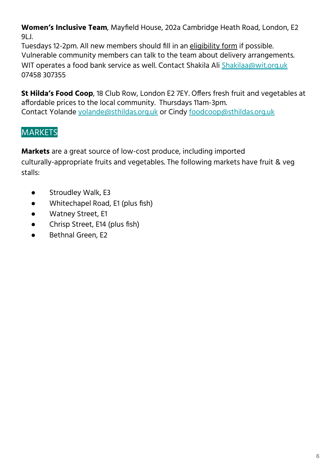**Women's Inclusive Team**, Mayfield House, 202a Cambridge Heath Road, London, E2 9LJ.

Tuesdays 12-2pm. All new members should fill in an [eligibility form](https://forms.gle/xu9Mhuc9rvWaNDkHA) if possible. Vulnerable community members can talk to the team about delivery arrangements. WIT operates a food bank service as well. Contact Shakila Ali [Shakilaa@wit.org.uk](mailto:Shakilaa@wit.org.uk) 07458 307355

**St Hilda's Food Coop**, 18 Club Row, London E2 7EY. Offers fresh fruit and vegetables at affordable prices to the local community. Thursdays 11am-3pm. Contact Yolande [yolande@sthildas.org.uk](mailto:yolande@sthildas.org.uk) or Cindy [foodcoop@sthildas.org.uk](mailto:foodcoop@sthildas.org.uk)

### **MARKETS**

**Markets** are a great source of low-cost produce, including imported culturally-appropriate fruits and vegetables. The following markets have fruit & veg stalls:

- Stroudley Walk, E3
- Whitechapel Road, E1 (plus fish)
- Watney Street, E1
- Chrisp Street, E14 (plus fish)
- Bethnal Green, E2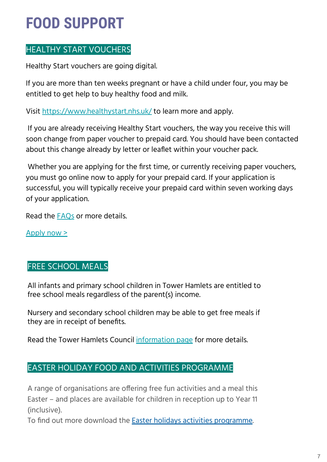### **FOOD SUPPORT**

### HEALTHY START VOUCHERS

Healthy Start vouchers are going digital.

If you are more than ten weeks pregnant or have a child under four, you may be entitled to get help to buy healthy food and milk.

Visit [https://www.healthystart.nhs.uk/](https://eur02.safelinks.protection.outlook.com/?url=https%3A%2F%2Fwww.healthystart.nhs.uk%2Fhow-to-apply%2F&data=04%7C01%7Cjo%40wen.org.uk%7C4d6319dca4db46f6d5bb08da1160b01f%7Cfefde40f48f246d4b00e9269a82a8882%7C0%7C0%7C637841404740138958%7CUnknown%7CTWFpbGZsb3d8eyJWIjoiMC4wLjAwMDAiLCJQIjoiV2luMzIiLCJBTiI6Ik1haWwiLCJXVCI6Mn0%3D%7C3000&sdata=lcV1BwRsqMchE8%2BfLnN%2Fo4x90vKWRxRnqOts6q%2Bj7uU%3D&reserved=0) to learn more and apply.

 If you are already receiving Healthy Start vouchers, the way you receive this will soon change from paper voucher to prepaid card. You should have been contacted about this change already by letter or leaflet within your voucher pack.

 Whether you are applying for the first time, or currently receiving paper vouchers, you must go online now to apply for your prepaid card. If your application is successful, you will typically receive your prepaid card within seven working days of your application.

Read the **[FAQs](https://eur02.safelinks.protection.outlook.com/?url=https%3A%2F%2Fwww.healthystart.nhs.uk%2Ffrequently-asked-questions%2Fthe-new-healthy-start-scheme%2F&data=04%7C01%7Cjo%40wen.org.uk%7C4d6319dca4db46f6d5bb08da1160b01f%7Cfefde40f48f246d4b00e9269a82a8882%7C0%7C0%7C637841404740138958%7CUnknown%7CTWFpbGZsb3d8eyJWIjoiMC4wLjAwMDAiLCJQIjoiV2luMzIiLCJBTiI6Ik1haWwiLCJXVCI6Mn0%3D%7C3000&sdata=PGPFKgA3N2WX2dyQwUipUP0LAhr0DYHONzJBjB5fpOA%3D&reserved=0)** or more details.

[Apply now >](https://eur02.safelinks.protection.outlook.com/?url=https%3A%2F%2Fservices.nhsbsa.nhs.uk%2Fapply-for-healthy-start%2F&data=04%7C01%7Cjo%40wen.org.uk%7C4d6319dca4db46f6d5bb08da1160b01f%7Cfefde40f48f246d4b00e9269a82a8882%7C0%7C0%7C637841404740138958%7CUnknown%7CTWFpbGZsb3d8eyJWIjoiMC4wLjAwMDAiLCJQIjoiV2luMzIiLCJBTiI6Ik1haWwiLCJXVCI6Mn0%3D%7C3000&sdata=dIHR%2Bac3gX6xzJktT8fLbB21r96KpBkrXQ%2FRZd4UuZ4%3D&reserved=0)

### FREE SCHOOL MEALS

All infants and primary school children in Tower Hamlets are entitled to free school meals regardless of the parent(s) income.

Nursery and secondary school children may be able to get free meals if they are in receipt of benefits.

Read the Tower Hamlets Council [information page](https://www.towerhamlets.gov.uk/lgnl/education_and_learning/school_finance_and_support/free_school_meals.aspx) for more details.

### EASTER HOLIDAY FOOD AND ACTIVITIES PROGRAMME

A range of organisations are offering free fun activities and a meal this Easter – and places are available for children in reception up to Year 11 (inclusive).

To find out more download the [Easter holidays activities programme.](https://www.towerhamlets.gov.uk/Documents/Children-and-Culture/TH-Easter-Programme.pdf)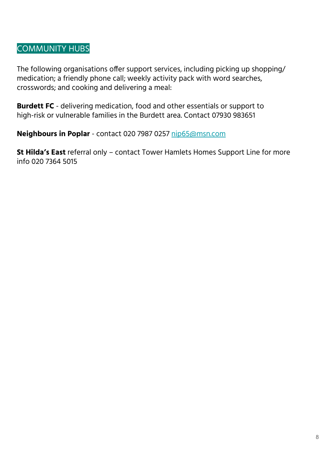### COMMUNITY HUBS

The following organisations offer support services, including picking up shopping/ medication; a friendly phone call; weekly activity pack with word searches, crosswords; and cooking and delivering a meal:

**Burdett FC** - delivering medication, food and other essentials or support to high-risk or vulnerable families in the Burdett area. Contact 07930 983651

**Neighbours in Poplar** - contact 020 7987 0257 [nip65@msn.com](mailto:nip65@msn.com)

**St Hilda's East** referral only – contact Tower Hamlets Homes Support Line for more info 020 7364 5015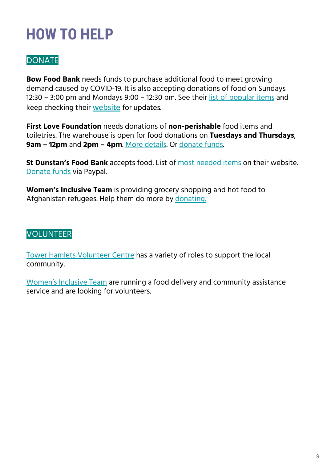### **HOW TO HELP**

### **DONATE**

**Bow Food Bank** needs funds to purchase additional food to meet growing demand caused by COVID-19. It is also accepting donations of food on Sundays 12:30 – 3:00 pm and Mondays 9:00 – 12:30 pm. See their [list of popular items](http://www.bowfoodbank.org/wp/foodbank-favourites/) and keep checking their [website](http://www.bowfoodbank.org/wp/) for updates.

**First Love Foundation** needs donations of **non-perishable** food items and toiletries. The warehouse is open for food donations on **Tuesdays and Thursdays**, **9am – 12pm** and **2pm – 4pm**. [More details.](https://www.firstlovefoundation.org.uk/donate-products/) Or [donate funds](https://firstlovefoundation.enthuse.com/regular#!/).

**St Dunstan's Food Bank** accepts food. List of [most needed items](http://www.stdunstanstepney.com/food-bank.html) on their website. [Donate funds](https://www.paypal.com/donate/?token=aMhXBThIygd07aEJ9KZi3k2xkG7Wol26q_luuHXv7MBhZ2gWjNDTYTdLS_r7GDd9NH70mm&country.x=GB&locale.x=GB) via Paypal.

**Women's Inclusive Team** is providing grocery shopping and hot food to Afghanistan refugees. Help them do more by [donating.](https://pay.sumup.io/b2c/Q9B4TXBBn)

### VOLUNTEER

[Tower Hamlets Volunteer Centre](https://vcconnectsystem.org.uk/TowerHamletsVMS2/VolunteerOpportunities/DetailsForSearch/1711) has a variety of roles to support the local community.

[Women's Inclusive Team](https://wit.org.uk/) are running a food delivery and community assistance service and are looking for volunteers.